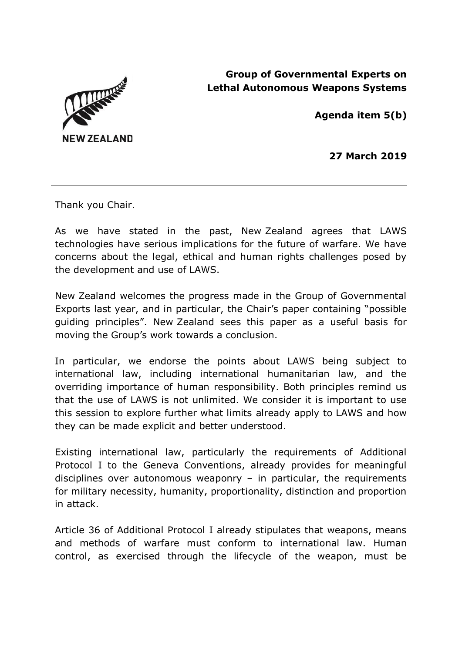



**Agenda item 5(b)**

**27 March 2019**

Thank you Chair.

As we have stated in the past, New Zealand agrees that LAWS technologies have serious implications for the future of warfare. We have concerns about the legal, ethical and human rights challenges posed by the development and use of LAWS.

New Zealand welcomes the progress made in the Group of Governmental Exports last year, and in particular, the Chair's paper containing "possible guiding principles". New Zealand sees this paper as a useful basis for moving the Group's work towards a conclusion.

In particular, we endorse the points about LAWS being subject to international law, including international humanitarian law, and the overriding importance of human responsibility. Both principles remind us that the use of LAWS is not unlimited. We consider it is important to use this session to explore further what limits already apply to LAWS and how they can be made explicit and better understood.

Existing international law, particularly the requirements of Additional Protocol I to the Geneva Conventions, already provides for meaningful disciplines over autonomous weaponry  $-$  in particular, the requirements for military necessity, humanity, proportionality, distinction and proportion in attack.

Article 36 of Additional Protocol I already stipulates that weapons, means and methods of warfare must conform to international law. Human control, as exercised through the lifecycle of the weapon, must be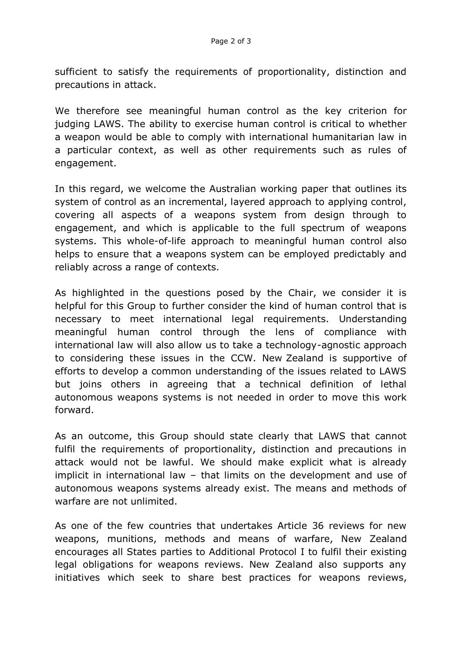sufficient to satisfy the requirements of proportionality, distinction and precautions in attack.

We therefore see meaningful human control as the key criterion for judging LAWS. The ability to exercise human control is critical to whether a weapon would be able to comply with international humanitarian law in a particular context, as well as other requirements such as rules of engagement.

In this regard, we welcome the Australian working paper that outlines its system of control as an incremental, layered approach to applying control, covering all aspects of a weapons system from design through to engagement, and which is applicable to the full spectrum of weapons systems. This whole-of-life approach to meaningful human control also helps to ensure that a weapons system can be employed predictably and reliably across a range of contexts.

As highlighted in the questions posed by the Chair, we consider it is helpful for this Group to further consider the kind of human control that is necessary to meet international legal requirements. Understanding meaningful human control through the lens of compliance with international law will also allow us to take a technology-agnostic approach to considering these issues in the CCW. New Zealand is supportive of efforts to develop a common understanding of the issues related to LAWS but joins others in agreeing that a technical definition of lethal autonomous weapons systems is not needed in order to move this work forward.

As an outcome, this Group should state clearly that LAWS that cannot fulfil the requirements of proportionality, distinction and precautions in attack would not be lawful. We should make explicit what is already implicit in international law – that limits on the development and use of autonomous weapons systems already exist. The means and methods of warfare are not unlimited.

As one of the few countries that undertakes Article 36 reviews for new weapons, munitions, methods and means of warfare, New Zealand encourages all States parties to Additional Protocol I to fulfil their existing legal obligations for weapons reviews. New Zealand also supports any initiatives which seek to share best practices for weapons reviews,